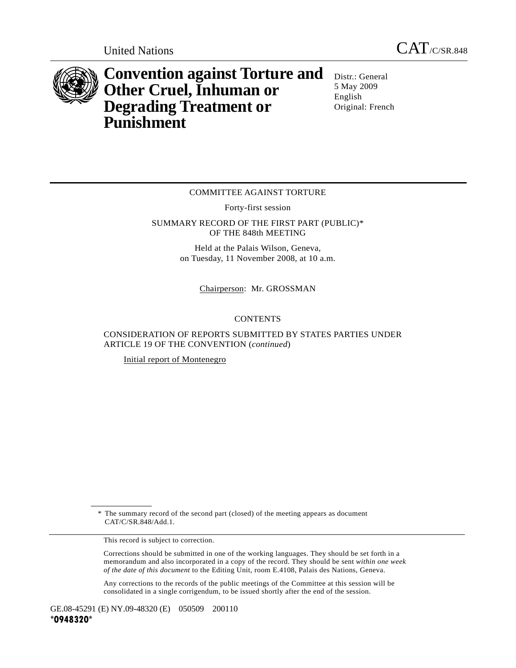

**Convention against Torture and Other Cruel, Inhuman or Degrading Treatment or Punishment** 

Distr.: General 5 May 2009 English Original: French

## COMMITTEE AGAINST TORTURE

Forty-first session

SUMMARY RECORD OF THE FIRST PART (PUBLIC)\* OF THE 848th MEETING

> Held at the Palais Wilson, Geneva, on Tuesday, 11 November 2008, at 10 a.m.

> > Chairperson: Mr. GROSSMAN

## **CONTENTS**

CONSIDERATION OF REPORTS SUBMITTED BY STATES PARTIES UNDER ARTICLE 19 OF THE CONVENTION (*continued*)

Initial report of Montenegro

 \* The summary record of the second part (closed) of the meeting appears as document CAT/C/SR.848/Add.1.

This record is subject to correction.

 Corrections should be submitted in one of the working languages. They should be set forth in a memorandum and also incorporated in a copy of the record. They should be sent *within one week of the date of this document* to the Editing Unit, room E.4108, Palais des Nations, Geneva.

 Any corrections to the records of the public meetings of the Committee at this session will be consolidated in a single corrigendum, to be issued shortly after the end of the session.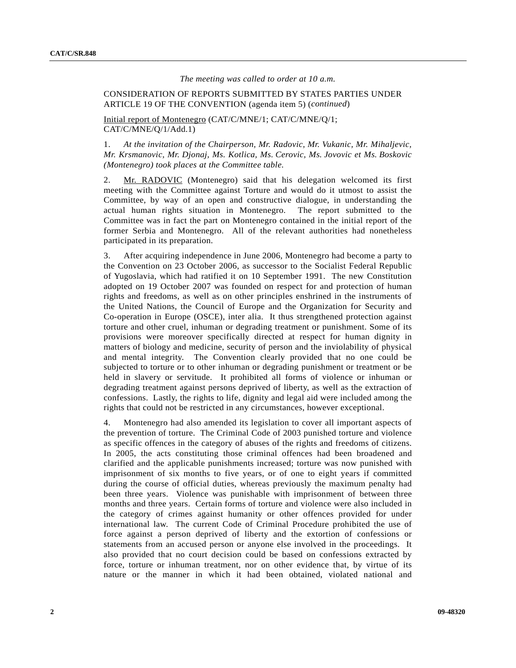## *The meeting was called to order at 10 a.m.*

## CONSIDERATION OF REPORTS SUBMITTED BY STATES PARTIES UNDER ARTICLE 19 OF THE CONVENTION (agenda item 5) (*continued*)

Initial report of Montenegro (CAT/C/MNE/1; CAT/C/MNE/Q/1; CAT/C/MNE/Q/1/Add.1)

1. *At the invitation of the Chairperson, Mr. Radovic, Mr. Vukanic, Mr. Mihaljevic, Mr. Krsmanovic, Mr. Djonaj, Ms. Kotlica, Ms. Cerovic, Ms. Jovovic et Ms. Boskovic (Montenegro) took places at the Committee table.* 

2. Mr. RADOVIC (Montenegro) said that his delegation welcomed its first meeting with the Committee against Torture and would do it utmost to assist the Committee, by way of an open and constructive dialogue, in understanding the actual human rights situation in Montenegro. The report submitted to the Committee was in fact the part on Montenegro contained in the initial report of the former Serbia and Montenegro. All of the relevant authorities had nonetheless participated in its preparation.

3. After acquiring independence in June 2006, Montenegro had become a party to the Convention on 23 October 2006, as successor to the Socialist Federal Republic of Yugoslavia, which had ratified it on 10 September 1991. The new Constitution adopted on 19 October 2007 was founded on respect for and protection of human rights and freedoms, as well as on other principles enshrined in the instruments of the United Nations, the Council of Europe and the Organization for Security and Co-operation in Europe (OSCE), inter alia. It thus strengthened protection against torture and other cruel, inhuman or degrading treatment or punishment. Some of its provisions were moreover specifically directed at respect for human dignity in matters of biology and medicine, security of person and the inviolability of physical and mental integrity. The Convention clearly provided that no one could be subjected to torture or to other inhuman or degrading punishment or treatment or be held in slavery or servitude. It prohibited all forms of violence or inhuman or degrading treatment against persons deprived of liberty, as well as the extraction of confessions. Lastly, the rights to life, dignity and legal aid were included among the rights that could not be restricted in any circumstances, however exceptional.

4. Montenegro had also amended its legislation to cover all important aspects of the prevention of torture. The Criminal Code of 2003 punished torture and violence as specific offences in the category of abuses of the rights and freedoms of citizens. In 2005, the acts constituting those criminal offences had been broadened and clarified and the applicable punishments increased; torture was now punished with imprisonment of six months to five years, or of one to eight years if committed during the course of official duties, whereas previously the maximum penalty had been three years. Violence was punishable with imprisonment of between three months and three years. Certain forms of torture and violence were also included in the category of crimes against humanity or other offences provided for under international law. The current Code of Criminal Procedure prohibited the use of force against a person deprived of liberty and the extortion of confessions or statements from an accused person or anyone else involved in the proceedings. It also provided that no court decision could be based on confessions extracted by force, torture or inhuman treatment, nor on other evidence that, by virtue of its nature or the manner in which it had been obtained, violated national and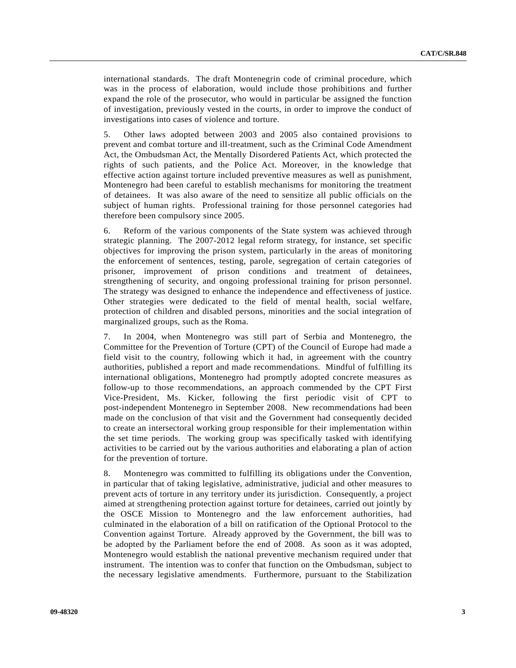international standards. The draft Montenegrin code of criminal procedure, which was in the process of elaboration, would include those prohibitions and further expand the role of the prosecutor, who would in particular be assigned the function of investigation, previously vested in the courts, in order to improve the conduct of investigations into cases of violence and torture.

5. Other laws adopted between 2003 and 2005 also contained provisions to prevent and combat torture and ill-treatment, such as the Criminal Code Amendment Act, the Ombudsman Act, the Mentally Disordered Patients Act, which protected the rights of such patients, and the Police Act. Moreover, in the knowledge that effective action against torture included preventive measures as well as punishment, Montenegro had been careful to establish mechanisms for monitoring the treatment of detainees. It was also aware of the need to sensitize all public officials on the subject of human rights. Professional training for those personnel categories had therefore been compulsory since 2005.

6. Reform of the various components of the State system was achieved through strategic planning. The 2007-2012 legal reform strategy, for instance, set specific objectives for improving the prison system, particularly in the areas of monitoring the enforcement of sentences, testing, parole, segregation of certain categories of prisoner, improvement of prison conditions and treatment of detainees, strengthening of security, and ongoing professional training for prison personnel. The strategy was designed to enhance the independence and effectiveness of justice. Other strategies were dedicated to the field of mental health, social welfare, protection of children and disabled persons, minorities and the social integration of marginalized groups, such as the Roma.

7. In 2004, when Montenegro was still part of Serbia and Montenegro, the Committee for the Prevention of Torture (CPT) of the Council of Europe had made a field visit to the country, following which it had, in agreement with the country authorities, published a report and made recommendations. Mindful of fulfilling its international obligations, Montenegro had promptly adopted concrete measures as follow-up to those recommendations, an approach commended by the CPT First Vice-President, Ms. Kicker, following the first periodic visit of CPT to post-independent Montenegro in September 2008. New recommendations had been made on the conclusion of that visit and the Government had consequently decided to create an intersectoral working group responsible for their implementation within the set time periods. The working group was specifically tasked with identifying activities to be carried out by the various authorities and elaborating a plan of action for the prevention of torture.

8. Montenegro was committed to fulfilling its obligations under the Convention, in particular that of taking legislative, administrative, judicial and other measures to prevent acts of torture in any territory under its jurisdiction. Consequently, a project aimed at strengthening protection against torture for detainees, carried out jointly by the OSCE Mission to Montenegro and the law enforcement authorities, had culminated in the elaboration of a bill on ratification of the Optional Protocol to the Convention against Torture. Already approved by the Government, the bill was to be adopted by the Parliament before the end of 2008. As soon as it was adopted, Montenegro would establish the national preventive mechanism required under that instrument. The intention was to confer that function on the Ombudsman, subject to the necessary legislative amendments. Furthermore, pursuant to the Stabilization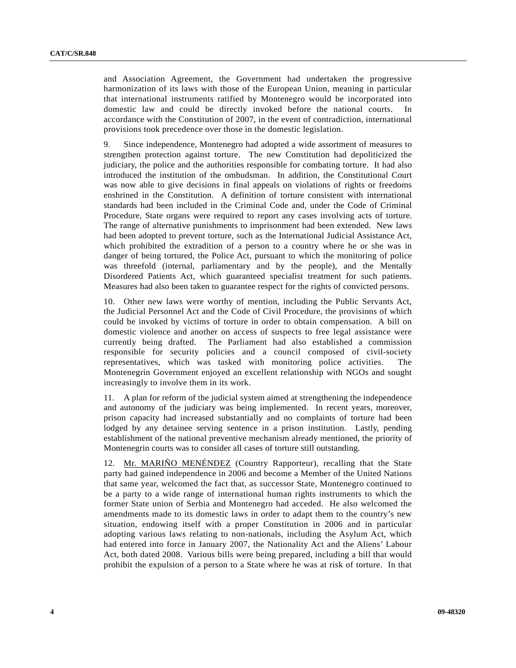and Association Agreement, the Government had undertaken the progressive harmonization of its laws with those of the European Union, meaning in particular that international instruments ratified by Montenegro would be incorporated into domestic law and could be directly invoked before the national courts. accordance with the Constitution of 2007, in the event of contradiction, international provisions took precedence over those in the domestic legislation.

9. Since independence, Montenegro had adopted a wide assortment of measures to strengthen protection against torture. The new Constitution had depoliticized the judiciary, the police and the authorities responsible for combating torture. It had also introduced the institution of the ombudsman. In addition, the Constitutional Court was now able to give decisions in final appeals on violations of rights or freedoms enshrined in the Constitution. A definition of torture consistent with international standards had been included in the Criminal Code and, under the Code of Criminal Procedure, State organs were required to report any cases involving acts of torture. The range of alternative punishments to imprisonment had been extended. New laws had been adopted to prevent torture, such as the International Judicial Assistance Act, which prohibited the extradition of a person to a country where he or she was in danger of being tortured, the Police Act, pursuant to which the monitoring of police was threefold (internal, parliamentary and by the people), and the Mentally Disordered Patients Act, which guaranteed specialist treatment for such patients. Measures had also been taken to guarantee respect for the rights of convicted persons.

10. Other new laws were worthy of mention, including the Public Servants Act, the Judicial Personnel Act and the Code of Civil Procedure, the provisions of which could be invoked by victims of torture in order to obtain compensation. A bill on domestic violence and another on access of suspects to free legal assistance were currently being drafted. The Parliament had also established a commission responsible for security policies and a council composed of civil-society representatives, which was tasked with monitoring police activities. The Montenegrin Government enjoyed an excellent relationship with NGOs and sought increasingly to involve them in its work.

11. A plan for reform of the judicial system aimed at strengthening the independence and autonomy of the judiciary was being implemented. In recent years, moreover, prison capacity had increased substantially and no complaints of torture had been lodged by any detainee serving sentence in a prison institution. Lastly, pending establishment of the national preventive mechanism already mentioned, the priority of Montenegrin courts was to consider all cases of torture still outstanding.

12. Mr. MARIÑO MENÉNDEZ (Country Rapporteur), recalling that the State party had gained independence in 2006 and become a Member of the United Nations that same year, welcomed the fact that, as successor State, Montenegro continued to be a party to a wide range of international human rights instruments to which the former State union of Serbia and Montenegro had acceded. He also welcomed the amendments made to its domestic laws in order to adapt them to the country's new situation, endowing itself with a proper Constitution in 2006 and in particular adopting various laws relating to non-nationals, including the Asylum Act, which had entered into force in January 2007, the Nationality Act and the Aliens' Labour Act, both dated 2008. Various bills were being prepared, including a bill that would prohibit the expulsion of a person to a State where he was at risk of torture. In that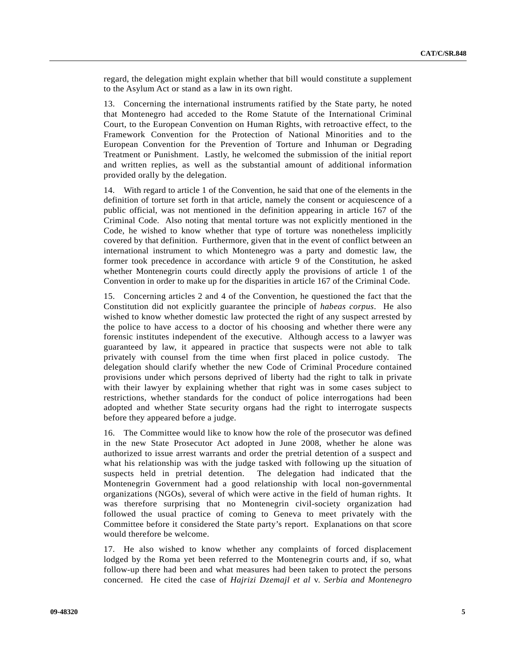regard, the delegation might explain whether that bill would constitute a supplement to the Asylum Act or stand as a law in its own right.

13. Concerning the international instruments ratified by the State party, he noted that Montenegro had acceded to the Rome Statute of the International Criminal Court, to the European Convention on Human Rights, with retroactive effect, to the Framework Convention for the Protection of National Minorities and to the European Convention for the Prevention of Torture and Inhuman or Degrading Treatment or Punishment. Lastly, he welcomed the submission of the initial report and written replies, as well as the substantial amount of additional information provided orally by the delegation.

14. With regard to article 1 of the Convention, he said that one of the elements in the definition of torture set forth in that article, namely the consent or acquiescence of a public official, was not mentioned in the definition appearing in article 167 of the Criminal Code. Also noting that mental torture was not explicitly mentioned in the Code, he wished to know whether that type of torture was nonetheless implicitly covered by that definition. Furthermore, given that in the event of conflict between an international instrument to which Montenegro was a party and domestic law, the former took precedence in accordance with article 9 of the Constitution, he asked whether Montenegrin courts could directly apply the provisions of article 1 of the Convention in order to make up for the disparities in article 167 of the Criminal Code.

15. Concerning articles 2 and 4 of the Convention, he questioned the fact that the Constitution did not explicitly guarantee the principle of *habeas corpus*. He also wished to know whether domestic law protected the right of any suspect arrested by the police to have access to a doctor of his choosing and whether there were any forensic institutes independent of the executive. Although access to a lawyer was guaranteed by law, it appeared in practice that suspects were not able to talk privately with counsel from the time when first placed in police custody. The delegation should clarify whether the new Code of Criminal Procedure contained provisions under which persons deprived of liberty had the right to talk in private with their lawyer by explaining whether that right was in some cases subject to restrictions, whether standards for the conduct of police interrogations had been adopted and whether State security organs had the right to interrogate suspects before they appeared before a judge.

16. The Committee would like to know how the role of the prosecutor was defined in the new State Prosecutor Act adopted in June 2008, whether he alone was authorized to issue arrest warrants and order the pretrial detention of a suspect and what his relationship was with the judge tasked with following up the situation of suspects held in pretrial detention. The delegation had indicated that the Montenegrin Government had a good relationship with local non-governmental organizations (NGOs), several of which were active in the field of human rights. It was therefore surprising that no Montenegrin civil-society organization had followed the usual practice of coming to Geneva to meet privately with the Committee before it considered the State party's report. Explanations on that score would therefore be welcome.

17. He also wished to know whether any complaints of forced displacement lodged by the Roma yet been referred to the Montenegrin courts and, if so, what follow-up there had been and what measures had been taken to protect the persons concerned. He cited the case of *Hajrizi Dzemajl et al* v. *Serbia and Montenegro*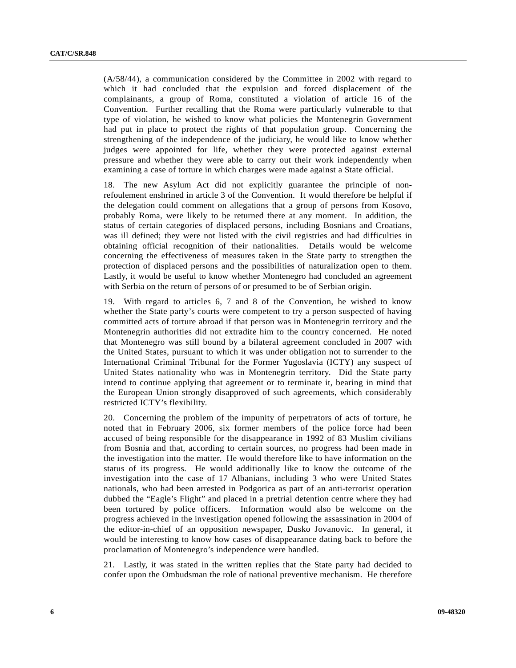(A/58/44), a communication considered by the Committee in 2002 with regard to which it had concluded that the expulsion and forced displacement of the complainants, a group of Roma, constituted a violation of article 16 of the Convention. Further recalling that the Roma were particularly vulnerable to that type of violation, he wished to know what policies the Montenegrin Government had put in place to protect the rights of that population group. Concerning the strengthening of the independence of the judiciary, he would like to know whether judges were appointed for life, whether they were protected against external pressure and whether they were able to carry out their work independently when examining a case of torture in which charges were made against a State official.

18. The new Asylum Act did not explicitly guarantee the principle of nonrefoulement enshrined in article 3 of the Convention. It would therefore be helpful if the delegation could comment on allegations that a group of persons from Kosovo, probably Roma, were likely to be returned there at any moment. In addition, the status of certain categories of displaced persons, including Bosnians and Croatians, was ill defined; they were not listed with the civil registries and had difficulties in obtaining official recognition of their nationalities. Details would be welcome concerning the effectiveness of measures taken in the State party to strengthen the protection of displaced persons and the possibilities of naturalization open to them. Lastly, it would be useful to know whether Montenegro had concluded an agreement with Serbia on the return of persons of or presumed to be of Serbian origin.

19. With regard to articles 6, 7 and 8 of the Convention, he wished to know whether the State party's courts were competent to try a person suspected of having committed acts of torture abroad if that person was in Montenegrin territory and the Montenegrin authorities did not extradite him to the country concerned. He noted that Montenegro was still bound by a bilateral agreement concluded in 2007 with the United States, pursuant to which it was under obligation not to surrender to the International Criminal Tribunal for the Former Yugoslavia (ICTY) any suspect of United States nationality who was in Montenegrin territory. Did the State party intend to continue applying that agreement or to terminate it, bearing in mind that the European Union strongly disapproved of such agreements, which considerably restricted ICTY's flexibility.

20. Concerning the problem of the impunity of perpetrators of acts of torture, he noted that in February 2006, six former members of the police force had been accused of being responsible for the disappearance in 1992 of 83 Muslim civilians from Bosnia and that, according to certain sources, no progress had been made in the investigation into the matter. He would therefore like to have information on the status of its progress. He would additionally like to know the outcome of the investigation into the case of 17 Albanians, including 3 who were United States nationals, who had been arrested in Podgorica as part of an anti-terrorist operation dubbed the "Eagle's Flight" and placed in a pretrial detention centre where they had been tortured by police officers. Information would also be welcome on the progress achieved in the investigation opened following the assassination in 2004 of the editor-in-chief of an opposition newspaper, Dusko Jovanovic. In general, it would be interesting to know how cases of disappearance dating back to before the proclamation of Montenegro's independence were handled.

21. Lastly, it was stated in the written replies that the State party had decided to confer upon the Ombudsman the role of national preventive mechanism. He therefore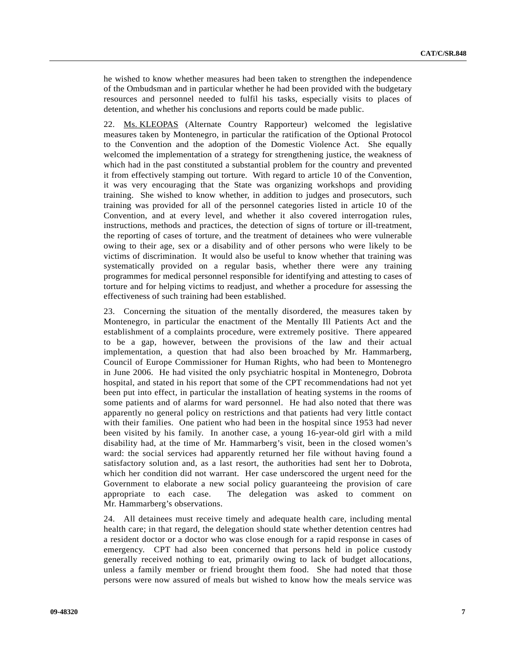he wished to know whether measures had been taken to strengthen the independence of the Ombudsman and in particular whether he had been provided with the budgetary resources and personnel needed to fulfil his tasks, especially visits to places of detention, and whether his conclusions and reports could be made public.

22. Ms. KLEOPAS (Alternate Country Rapporteur) welcomed the legislative measures taken by Montenegro, in particular the ratification of the Optional Protocol to the Convention and the adoption of the Domestic Violence Act. She equally welcomed the implementation of a strategy for strengthening justice, the weakness of which had in the past constituted a substantial problem for the country and prevented it from effectively stamping out torture. With regard to article 10 of the Convention, it was very encouraging that the State was organizing workshops and providing training. She wished to know whether, in addition to judges and prosecutors, such training was provided for all of the personnel categories listed in article 10 of the Convention, and at every level, and whether it also covered interrogation rules, instructions, methods and practices, the detection of signs of torture or ill-treatment, the reporting of cases of torture, and the treatment of detainees who were vulnerable owing to their age, sex or a disability and of other persons who were likely to be victims of discrimination. It would also be useful to know whether that training was systematically provided on a regular basis, whether there were any training programmes for medical personnel responsible for identifying and attesting to cases of torture and for helping victims to readjust, and whether a procedure for assessing the effectiveness of such training had been established.

23. Concerning the situation of the mentally disordered, the measures taken by Montenegro, in particular the enactment of the Mentally Ill Patients Act and the establishment of a complaints procedure, were extremely positive. There appeared to be a gap, however, between the provisions of the law and their actual implementation, a question that had also been broached by Mr. Hammarberg, Council of Europe Commissioner for Human Rights, who had been to Montenegro in June 2006. He had visited the only psychiatric hospital in Montenegro, Dobrota hospital, and stated in his report that some of the CPT recommendations had not yet been put into effect, in particular the installation of heating systems in the rooms of some patients and of alarms for ward personnel. He had also noted that there was apparently no general policy on restrictions and that patients had very little contact with their families. One patient who had been in the hospital since 1953 had never been visited by his family. In another case, a young 16-year-old girl with a mild disability had, at the time of Mr. Hammarberg's visit, been in the closed women's ward: the social services had apparently returned her file without having found a satisfactory solution and, as a last resort, the authorities had sent her to Dobrota, which her condition did not warrant. Her case underscored the urgent need for the Government to elaborate a new social policy guaranteeing the provision of care appropriate to each case. The delegation was asked to comment on Mr. Hammarberg's observations.

24. All detainees must receive timely and adequate health care, including mental health care; in that regard, the delegation should state whether detention centres had a resident doctor or a doctor who was close enough for a rapid response in cases of emergency. CPT had also been concerned that persons held in police custody generally received nothing to eat, primarily owing to lack of budget allocations, unless a family member or friend brought them food. She had noted that those persons were now assured of meals but wished to know how the meals service was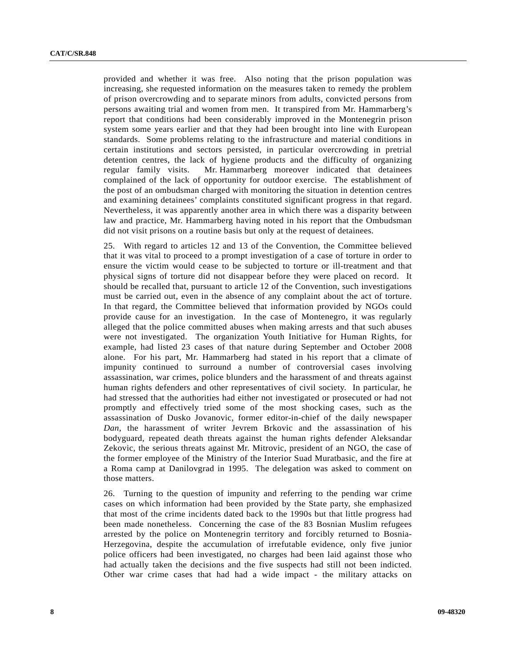provided and whether it was free. Also noting that the prison population was increasing, she requested information on the measures taken to remedy the problem of prison overcrowding and to separate minors from adults, convicted persons from persons awaiting trial and women from men. It transpired from Mr. Hammarberg's report that conditions had been considerably improved in the Montenegrin prison system some years earlier and that they had been brought into line with European standards. Some problems relating to the infrastructure and material conditions in certain institutions and sectors persisted, in particular overcrowding in pretrial detention centres, the lack of hygiene products and the difficulty of organizing regular family visits. Mr. Hammarberg moreover indicated that detainees complained of the lack of opportunity for outdoor exercise. The establishment of the post of an ombudsman charged with monitoring the situation in detention centres and examining detainees' complaints constituted significant progress in that regard. Nevertheless, it was apparently another area in which there was a disparity between law and practice, Mr. Hammarberg having noted in his report that the Ombudsman did not visit prisons on a routine basis but only at the request of detainees.

25. With regard to articles 12 and 13 of the Convention, the Committee believed that it was vital to proceed to a prompt investigation of a case of torture in order to ensure the victim would cease to be subjected to torture or ill-treatment and that physical signs of torture did not disappear before they were placed on record. It should be recalled that, pursuant to article 12 of the Convention, such investigations must be carried out, even in the absence of any complaint about the act of torture. In that regard, the Committee believed that information provided by NGOs could provide cause for an investigation. In the case of Montenegro, it was regularly alleged that the police committed abuses when making arrests and that such abuses were not investigated. The organization Youth Initiative for Human Rights, for example, had listed 23 cases of that nature during September and October 2008 alone. For his part, Mr. Hammarberg had stated in his report that a climate of impunity continued to surround a number of controversial cases involving assassination, war crimes, police blunders and the harassment of and threats against human rights defenders and other representatives of civil society. In particular, he had stressed that the authorities had either not investigated or prosecuted or had not promptly and effectively tried some of the most shocking cases, such as the assassination of Dusko Jovanovic, former editor-in-chief of the daily newspaper *Dan*, the harassment of writer Jevrem Brkovic and the assassination of his bodyguard, repeated death threats against the human rights defender Aleksandar Zekovic, the serious threats against Mr. Mitrovic, president of an NGO, the case of the former employee of the Ministry of the Interior Suad Muratbasic, and the fire at a Roma camp at Danilovgrad in 1995. The delegation was asked to comment on those matters.

26. Turning to the question of impunity and referring to the pending war crime cases on which information had been provided by the State party, she emphasized that most of the crime incidents dated back to the 1990s but that little progress had been made nonetheless. Concerning the case of the 83 Bosnian Muslim refugees arrested by the police on Montenegrin territory and forcibly returned to Bosnia-Herzegovina, despite the accumulation of irrefutable evidence, only five junior police officers had been investigated, no charges had been laid against those who had actually taken the decisions and the five suspects had still not been indicted. Other war crime cases that had had a wide impact - the military attacks on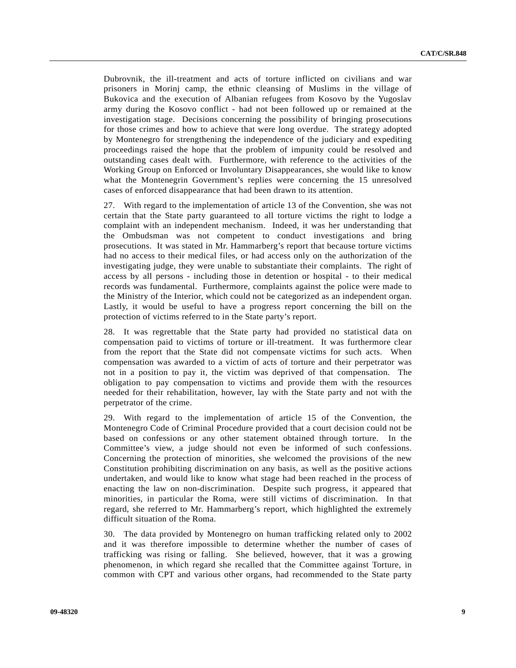Dubrovnik, the ill-treatment and acts of torture inflicted on civilians and war prisoners in Morinj camp, the ethnic cleansing of Muslims in the village of Bukovica and the execution of Albanian refugees from Kosovo by the Yugoslav army during the Kosovo conflict - had not been followed up or remained at the investigation stage. Decisions concerning the possibility of bringing prosecutions for those crimes and how to achieve that were long overdue. The strategy adopted by Montenegro for strengthening the independence of the judiciary and expediting proceedings raised the hope that the problem of impunity could be resolved and outstanding cases dealt with. Furthermore, with reference to the activities of the Working Group on Enforced or Involuntary Disappearances, she would like to know what the Montenegrin Government's replies were concerning the 15 unresolved cases of enforced disappearance that had been drawn to its attention.

27. With regard to the implementation of article 13 of the Convention, she was not certain that the State party guaranteed to all torture victims the right to lodge a complaint with an independent mechanism. Indeed, it was her understanding that the Ombudsman was not competent to conduct investigations and bring prosecutions. It was stated in Mr. Hammarberg's report that because torture victims had no access to their medical files, or had access only on the authorization of the investigating judge, they were unable to substantiate their complaints. The right of access by all persons - including those in detention or hospital - to their medical records was fundamental. Furthermore, complaints against the police were made to the Ministry of the Interior, which could not be categorized as an independent organ. Lastly, it would be useful to have a progress report concerning the bill on the protection of victims referred to in the State party's report.

28. It was regrettable that the State party had provided no statistical data on compensation paid to victims of torture or ill-treatment. It was furthermore clear from the report that the State did not compensate victims for such acts. When compensation was awarded to a victim of acts of torture and their perpetrator was not in a position to pay it, the victim was deprived of that compensation. The obligation to pay compensation to victims and provide them with the resources needed for their rehabilitation, however, lay with the State party and not with the perpetrator of the crime.

29. With regard to the implementation of article 15 of the Convention, the Montenegro Code of Criminal Procedure provided that a court decision could not be based on confessions or any other statement obtained through torture. In the Committee's view, a judge should not even be informed of such confessions. Concerning the protection of minorities, she welcomed the provisions of the new Constitution prohibiting discrimination on any basis, as well as the positive actions undertaken, and would like to know what stage had been reached in the process of enacting the law on non-discrimination. Despite such progress, it appeared that minorities, in particular the Roma, were still victims of discrimination. In that regard, she referred to Mr. Hammarberg's report, which highlighted the extremely difficult situation of the Roma.

30. The data provided by Montenegro on human trafficking related only to 2002 and it was therefore impossible to determine whether the number of cases of trafficking was rising or falling. She believed, however, that it was a growing phenomenon, in which regard she recalled that the Committee against Torture, in common with CPT and various other organs, had recommended to the State party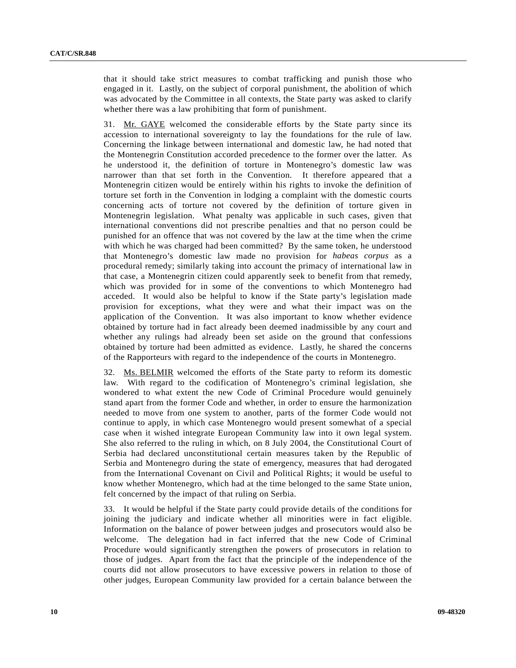that it should take strict measures to combat trafficking and punish those who engaged in it. Lastly, on the subject of corporal punishment, the abolition of which was advocated by the Committee in all contexts, the State party was asked to clarify whether there was a law prohibiting that form of punishment.

31. Mr. GAYE welcomed the considerable efforts by the State party since its accession to international sovereignty to lay the foundations for the rule of law. Concerning the linkage between international and domestic law, he had noted that the Montenegrin Constitution accorded precedence to the former over the latter. As he understood it, the definition of torture in Montenegro's domestic law was narrower than that set forth in the Convention. It therefore appeared that a Montenegrin citizen would be entirely within his rights to invoke the definition of torture set forth in the Convention in lodging a complaint with the domestic courts concerning acts of torture not covered by the definition of torture given in Montenegrin legislation. What penalty was applicable in such cases, given that international conventions did not prescribe penalties and that no person could be punished for an offence that was not covered by the law at the time when the crime with which he was charged had been committed? By the same token, he understood that Montenegro's domestic law made no provision for *habeas corpus* as a procedural remedy; similarly taking into account the primacy of international law in that case, a Montenegrin citizen could apparently seek to benefit from that remedy, which was provided for in some of the conventions to which Montenegro had acceded. It would also be helpful to know if the State party's legislation made provision for exceptions, what they were and what their impact was on the application of the Convention. It was also important to know whether evidence obtained by torture had in fact already been deemed inadmissible by any court and whether any rulings had already been set aside on the ground that confessions obtained by torture had been admitted as evidence. Lastly, he shared the concerns of the Rapporteurs with regard to the independence of the courts in Montenegro.

32. Ms. BELMIR welcomed the efforts of the State party to reform its domestic law. With regard to the codification of Montenegro's criminal legislation, she wondered to what extent the new Code of Criminal Procedure would genuinely stand apart from the former Code and whether, in order to ensure the harmonization needed to move from one system to another, parts of the former Code would not continue to apply, in which case Montenegro would present somewhat of a special case when it wished integrate European Community law into it own legal system. She also referred to the ruling in which, on 8 July 2004, the Constitutional Court of Serbia had declared unconstitutional certain measures taken by the Republic of Serbia and Montenegro during the state of emergency, measures that had derogated from the International Covenant on Civil and Political Rights; it would be useful to know whether Montenegro, which had at the time belonged to the same State union, felt concerned by the impact of that ruling on Serbia.

33. It would be helpful if the State party could provide details of the conditions for joining the judiciary and indicate whether all minorities were in fact eligible. Information on the balance of power between judges and prosecutors would also be welcome. The delegation had in fact inferred that the new Code of Criminal Procedure would significantly strengthen the powers of prosecutors in relation to those of judges. Apart from the fact that the principle of the independence of the courts did not allow prosecutors to have excessive powers in relation to those of other judges, European Community law provided for a certain balance between the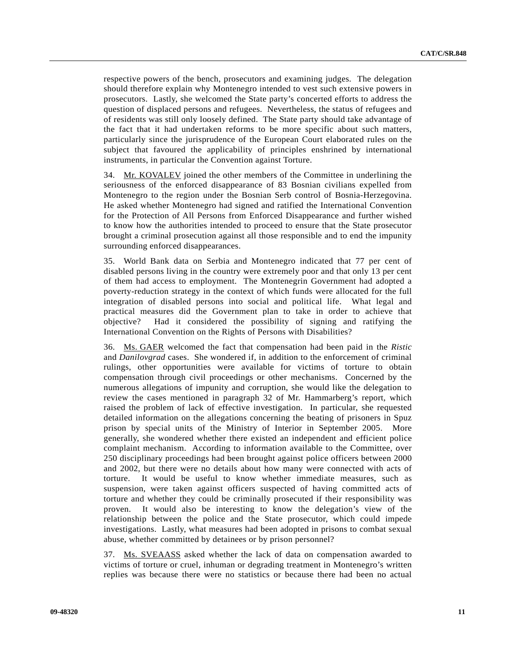respective powers of the bench, prosecutors and examining judges. The delegation should therefore explain why Montenegro intended to vest such extensive powers in prosecutors. Lastly, she welcomed the State party's concerted efforts to address the question of displaced persons and refugees. Nevertheless, the status of refugees and of residents was still only loosely defined. The State party should take advantage of the fact that it had undertaken reforms to be more specific about such matters, particularly since the jurisprudence of the European Court elaborated rules on the subject that favoured the applicability of principles enshrined by international instruments, in particular the Convention against Torture.

34. Mr. KOVALEV joined the other members of the Committee in underlining the seriousness of the enforced disappearance of 83 Bosnian civilians expelled from Montenegro to the region under the Bosnian Serb control of Bosnia-Herzegovina. He asked whether Montenegro had signed and ratified the International Convention for the Protection of All Persons from Enforced Disappearance and further wished to know how the authorities intended to proceed to ensure that the State prosecutor brought a criminal prosecution against all those responsible and to end the impunity surrounding enforced disappearances.

35. World Bank data on Serbia and Montenegro indicated that 77 per cent of disabled persons living in the country were extremely poor and that only 13 per cent of them had access to employment. The Montenegrin Government had adopted a poverty-reduction strategy in the context of which funds were allocated for the full integration of disabled persons into social and political life. What legal and practical measures did the Government plan to take in order to achieve that objective? Had it considered the possibility of signing and ratifying the International Convention on the Rights of Persons with Disabilities?

36. Ms. GAER welcomed the fact that compensation had been paid in the *Ristic* and *Danilovgrad* cases. She wondered if, in addition to the enforcement of criminal rulings, other opportunities were available for victims of torture to obtain compensation through civil proceedings or other mechanisms. Concerned by the numerous allegations of impunity and corruption, she would like the delegation to review the cases mentioned in paragraph 32 of Mr. Hammarberg's report, which raised the problem of lack of effective investigation. In particular, she requested detailed information on the allegations concerning the beating of prisoners in Spuz prison by special units of the Ministry of Interior in September 2005. More generally, she wondered whether there existed an independent and efficient police complaint mechanism. According to information available to the Committee, over 250 disciplinary proceedings had been brought against police officers between 2000 and 2002, but there were no details about how many were connected with acts of torture. It would be useful to know whether immediate measures, such as suspension, were taken against officers suspected of having committed acts of torture and whether they could be criminally prosecuted if their responsibility was proven. It would also be interesting to know the delegation's view of the relationship between the police and the State prosecutor, which could impede investigations. Lastly, what measures had been adopted in prisons to combat sexual abuse, whether committed by detainees or by prison personnel?

37. Ms. SVEAASS asked whether the lack of data on compensation awarded to victims of torture or cruel, inhuman or degrading treatment in Montenegro's written replies was because there were no statistics or because there had been no actual